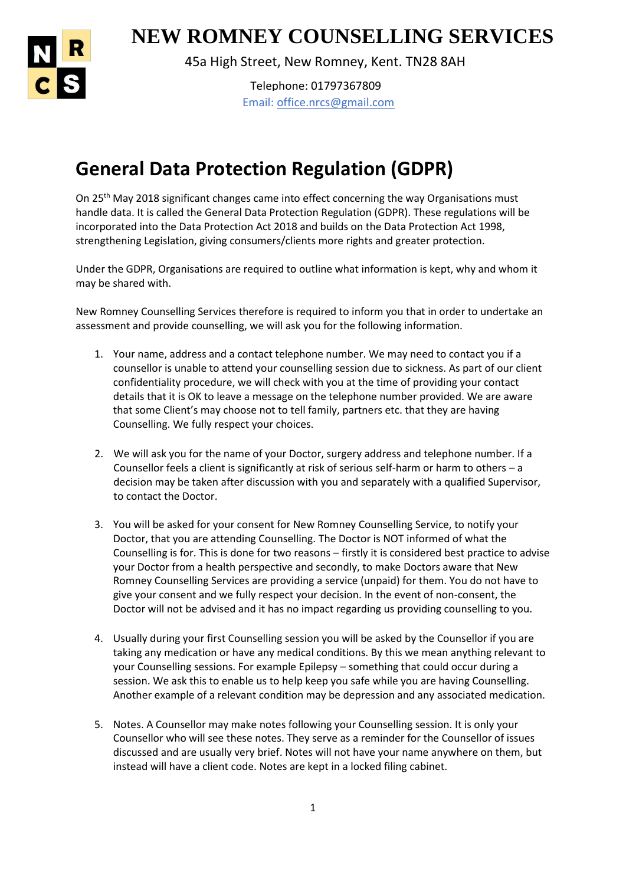

1 **NEW ROMNEY COUNSELLING SERVICES**

45a High Street, New Romney, Kent. TN28 8AH

Telephone: 01797367809 Email: office.nrcs@gmail.com

## **General Data Protection Regulation (GDPR)**

On 25<sup>th</sup> May 2018 significant changes came into effect concerning the way Organisations must handle data. It is called the General Data Protection Regulation (GDPR). These regulations will be incorporated into the Data Protection Act 2018 and builds on the Data Protection Act 1998, strengthening Legislation, giving consumers/clients more rights and greater protection.

Under the GDPR, Organisations are required to outline what information is kept, why and whom it may be shared with.

New Romney Counselling Services therefore is required to inform you that in order to undertake an assessment and provide counselling, we will ask you for the following information.

- 1. Your name, address and a contact telephone number. We may need to contact you if a counsellor is unable to attend your counselling session due to sickness. As part of our client confidentiality procedure, we will check with you at the time of providing your contact details that it is OK to leave a message on the telephone number provided. We are aware that some Client's may choose not to tell family, partners etc. that they are having Counselling. We fully respect your choices.
- 2. We will ask you for the name of your Doctor, surgery address and telephone number. If a Counsellor feels a client is significantly at risk of serious self-harm or harm to others – a decision may be taken after discussion with you and separately with a qualified Supervisor, to contact the Doctor.
- 3. You will be asked for your consent for New Romney Counselling Service, to notify your Doctor, that you are attending Counselling. The Doctor is NOT informed of what the Counselling is for. This is done for two reasons – firstly it is considered best practice to advise your Doctor from a health perspective and secondly, to make Doctors aware that New Romney Counselling Services are providing a service (unpaid) for them. You do not have to give your consent and we fully respect your decision. In the event of non-consent, the Doctor will not be advised and it has no impact regarding us providing counselling to you.
- 4. Usually during your first Counselling session you will be asked by the Counsellor if you are taking any medication or have any medical conditions. By this we mean anything relevant to your Counselling sessions. For example Epilepsy – something that could occur during a session. We ask this to enable us to help keep you safe while you are having Counselling. Another example of a relevant condition may be depression and any associated medication.
- 5. Notes. A Counsellor may make notes following your Counselling session. It is only your Counsellor who will see these notes. They serve as a reminder for the Counsellor of issues discussed and are usually very brief. Notes will not have your name anywhere on them, but instead will have a client code. Notes are kept in a locked filing cabinet.